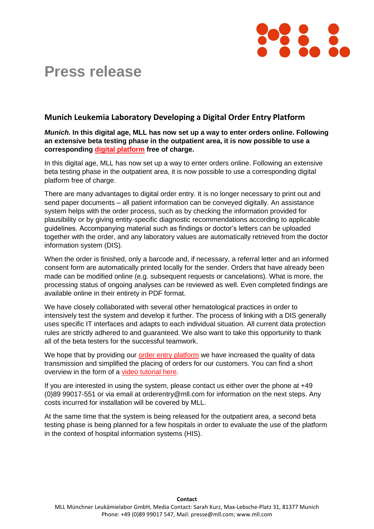

## **Press release**

## **Munich Leukemia Laboratory Developing a Digital Order Entry Platform**

*Munich.* **In this digital age, MLL has now set up a way to enter orders online. Following an extensive beta testing phase in the outpatient area, it is now possible to use a corresponding [digital platform](https://www.mll.com/orderentry/) free of charge.**

In this digital age, MLL has now set up a way to enter orders online. Following an extensive beta testing phase in the outpatient area, it is now possible to use a corresponding digital platform free of charge.

There are many advantages to digital order entry. It is no longer necessary to print out and send paper documents – all patient information can be conveyed digitally. An assistance system helps with the order process, such as by checking the information provided for plausibility or by giving entity-specific diagnostic recommendations according to applicable guidelines. Accompanying material such as findings or doctor's letters can be uploaded together with the order, and any laboratory values are automatically retrieved from the doctor information system (DIS).

When the order is finished, only a barcode and, if necessary, a referral letter and an informed consent form are automatically printed locally for the sender. Orders that have already been made can be modified online (e.g. subsequent requests or cancelations). What is more, the processing status of ongoing analyses can be reviewed as well. Even completed findings are available online in their entirety in PDF format.

We have closely collaborated with several other hematological practices in order to intensively test the system and develop it further. The process of linking with a DIS generally uses specific IT interfaces and adapts to each individual situation. All current data protection rules are strictly adhered to and guaranteed. We also want to take this opportunity to thank all of the beta testers for the successful teamwork.

We hope that by providing our [order entry platform](https://www.mll.com/orderentry/) we have increased the quality of data transmission and simplified the placing of orders for our customers. You can find a short overview in the form of a [video tutorial here.](https://vimeo.com/377558246/6f2cffe50a)

If you are interested in using the system, please contact us either over the phone at +49 (0)89 99017-551 or via email at orderentry@mll.com for information on the next steps. Any costs incurred for installation will be covered by MLL.

At the same time that the system is being released for the outpatient area, a second beta testing phase is being planned for a few hospitals in order to evaluate the use of the platform in the context of hospital information systems (HIS).